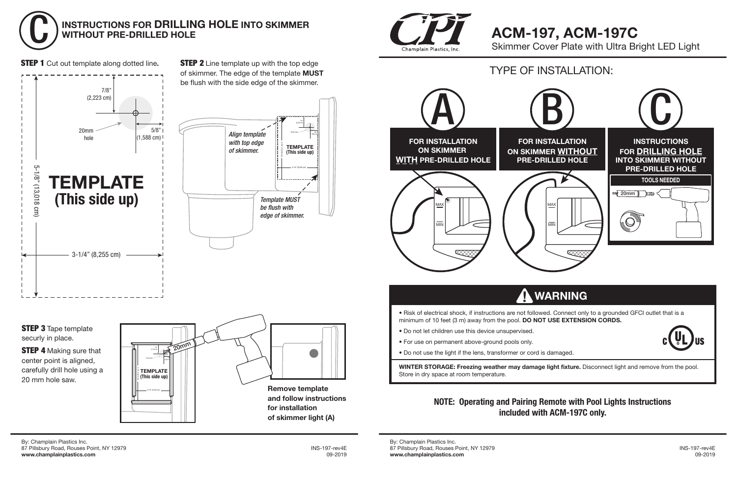By: Champlain Plastics Inc. 87 Pillsbury Road, Rouses Point, NY 12979 INS-197-rev4E **www.champlainplastics.com** 09-2019

By: Champlain Plastics Inc. 87 Pillsbury Road, Rouses Point, NY 12979 INS-197-rev4E **www.champlainplastics.com** 09-2019



**STEP 4** Making sure that center point is aligned, carefully drill hole using a 20 mm hole saw.

• Do not use the light if the lens, transformer or cord is damaged.

**WINTER STORAGE: Freezing weather may damage light fixture.** Disconnect light and remove from the pool. Store in dry space at room temperature.



STEP 1 Cut out template along dotted line**.**





### **NOTE: Operating and Pairing Remote with Pool Lights Instructions included with ACM-197C only.**



**STEP 2** Line template up with the top edge